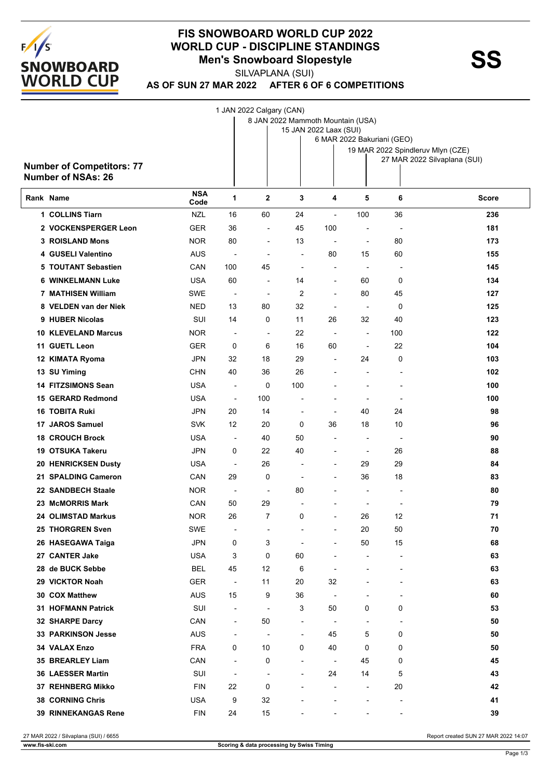

## **FIS SNOWBOARD WORLD CUP 2022 WORLD CUP - DISCIPLINE STANDINGS<br>Men's Snowboard Slopestyle<br>SUVARLANA (SUI)**

SILVAPLANA (SUI)

**AS OF SUN 27 MAR 2022 AFTER 6 OF 6 COMPETITIONS**

1 JAN 2022 Calgary (CAN)

|                                  | 8 JAN 2022 Mammoth Mountain (USA)<br>15 JAN 2022 Laax (SUI) |                          |                          |                          |                          |                            |                          |                                   |  |  |
|----------------------------------|-------------------------------------------------------------|--------------------------|--------------------------|--------------------------|--------------------------|----------------------------|--------------------------|-----------------------------------|--|--|
|                                  |                                                             |                          |                          |                          |                          | 6 MAR 2022 Bakuriani (GEO) |                          |                                   |  |  |
|                                  |                                                             |                          |                          |                          |                          |                            |                          | 19 MAR 2022 Spindleruv Mlyn (CZE) |  |  |
| <b>Number of Competitors: 77</b> |                                                             |                          |                          |                          |                          |                            |                          | 27 MAR 2022 Silvaplana (SUI)      |  |  |
| <b>Number of NSAs: 26</b>        |                                                             |                          |                          |                          |                          |                            |                          |                                   |  |  |
| Rank Name                        | <b>NSA</b><br>Code                                          | 1                        | $\mathbf{2}$             | 3                        | 4                        | 5                          | 6                        | Score                             |  |  |
| 1 COLLINS Tiarn                  | <b>NZL</b>                                                  | 16                       | 60                       | 24                       |                          | 100                        | 36                       | 236                               |  |  |
| 2 VOCKENSPERGER Leon             | <b>GER</b>                                                  | 36                       | $\overline{a}$           | 45                       | 100                      | -                          | $\overline{a}$           | 181                               |  |  |
| <b>3 ROISLAND Mons</b>           | NOR.                                                        | 80                       | $\blacksquare$           | 13                       | $\blacksquare$           | $\blacksquare$             | 80                       | 173                               |  |  |
| 4 GUSELI Valentino               | <b>AUS</b>                                                  | $\overline{a}$           |                          | $\overline{a}$           | 80                       | 15                         | 60                       | 155                               |  |  |
| 5 TOUTANT Sebastien              | CAN                                                         | 100                      | 45                       | $\overline{a}$           |                          | $\overline{\phantom{a}}$   | $\overline{a}$           | 145                               |  |  |
| <b>WINKELMANN Luke</b><br>6      | <b>USA</b>                                                  | 60                       | $\overline{\phantom{a}}$ | 14                       | $\blacksquare$           | 60                         | 0                        | 134                               |  |  |
| 7 MATHISEN William               | SWE                                                         | $\overline{\phantom{a}}$ | $\overline{\phantom{a}}$ | 2                        | $\overline{\phantom{a}}$ | 80                         | 45                       | 127                               |  |  |
| <b>VELDEN van der Niek</b><br>8  | <b>NED</b>                                                  | 13                       | 80                       | 32                       | $\blacksquare$           | $\overline{\phantom{a}}$   | 0                        | 125                               |  |  |
| 9 HUBER Nicolas                  | SUI                                                         | 14                       | 0                        | 11                       | 26                       | 32                         | 40                       | 123                               |  |  |
| <b>10 KLEVELAND Marcus</b>       | NOR.                                                        | $\blacksquare$           | $\overline{\phantom{a}}$ | 22                       | $\overline{\phantom{a}}$ | $\overline{\phantom{a}}$   | 100                      | 122                               |  |  |
| 11 GUETL Leon                    | <b>GER</b>                                                  | 0                        | 6                        | 16                       | 60                       | $\overline{a}$             | 22                       | 104                               |  |  |
| 12 KIMATA Ryoma                  | JPN                                                         | 32                       | 18                       | 29                       |                          | 24                         | 0                        | 103                               |  |  |
| 13 SU Yiming                     | <b>CHN</b>                                                  | 40                       | 36                       | 26                       |                          | $\overline{\phantom{a}}$   | $\overline{\phantom{a}}$ | 102                               |  |  |
| <b>14 FITZSIMONS Sean</b>        | <b>USA</b>                                                  | $\overline{\phantom{a}}$ | 0                        | 100                      |                          | $\blacksquare$             | $\blacksquare$           | 100                               |  |  |
| 15 GERARD Redmond                | <b>USA</b>                                                  | $\overline{\phantom{a}}$ | 100                      |                          |                          | -                          |                          | 100                               |  |  |
| <b>16 TOBITA Ruki</b>            | JPN                                                         | 20                       | 14                       | $\overline{a}$           |                          | 40                         | 24                       | 98                                |  |  |
| 17 JAROS Samuel                  | <b>SVK</b>                                                  | 12                       | 20                       | 0                        | 36                       | 18                         | 10                       | 96                                |  |  |
| <b>18 CROUCH Brock</b>           | <b>USA</b>                                                  | $\overline{\phantom{a}}$ | 40                       | 50                       |                          | $\overline{\phantom{a}}$   | $\overline{\phantom{a}}$ | 90                                |  |  |
| 19 OTSUKA Takeru                 | JPN                                                         | 0                        | 22                       | 40                       |                          | $\overline{\phantom{a}}$   | 26                       | 88                                |  |  |
| 20 HENRICKSEN Dusty              | <b>USA</b>                                                  | $\overline{\phantom{a}}$ | 26                       |                          |                          | 29                         | 29                       | 84                                |  |  |
| 21 SPALDING Cameron              | CAN                                                         | 29                       | 0                        | $\overline{a}$           | $\blacksquare$           | 36                         | 18                       | 83                                |  |  |
| 22 SANDBECH Staale               | NOR.                                                        | $\overline{\phantom{a}}$ | $\overline{a}$           | 80                       |                          | $\overline{\phantom{a}}$   | $\overline{\phantom{a}}$ | 80                                |  |  |
| 23 McMORRIS Mark                 | CAN                                                         | 50                       | 29                       | ÷                        |                          | $\overline{a}$             |                          | 79                                |  |  |
| 24 OLIMSTAD Markus               | <b>NOR</b>                                                  | 26                       | 7                        | 0                        |                          | 26                         | 12                       | 71                                |  |  |
| 25 THORGREN Sven                 | SWE                                                         |                          |                          |                          |                          | $20\,$                     | $50\,$                   | 70                                |  |  |
| 26 HASEGAWA Taiga                | <b>JPN</b>                                                  | 0                        | 3                        |                          |                          | 50                         | 15                       | 68                                |  |  |
| 27 CANTER Jake                   | <b>USA</b>                                                  | 3                        | 0                        | 60                       |                          | -                          | $\overline{a}$           | 63                                |  |  |
| 28 de BUCK Sebbe                 | <b>BEL</b>                                                  | 45                       | 12                       | 6                        |                          |                            |                          | 63                                |  |  |
| 29 VICKTOR Noah                  | <b>GER</b>                                                  | $\overline{\phantom{a}}$ | 11                       | 20                       | 32                       |                            |                          | 63                                |  |  |
| 30 COX Matthew                   | <b>AUS</b>                                                  | 15                       | 9                        | 36                       |                          | $\blacksquare$             | $\overline{a}$           | 60                                |  |  |
| <b>31 HOFMANN Patrick</b>        | SUI                                                         | $\blacksquare$           | $\overline{a}$           | 3                        | 50                       | 0                          | 0                        | 53                                |  |  |
| 32 SHARPE Darcy                  | CAN                                                         | $\overline{\phantom{a}}$ | 50                       | $\overline{\phantom{a}}$ | $\blacksquare$           | $\overline{\phantom{a}}$   | $\overline{\phantom{a}}$ | 50                                |  |  |
| <b>33 PARKINSON Jesse</b>        | <b>AUS</b>                                                  | $\overline{\phantom{a}}$ | $\overline{a}$           | $\overline{a}$           | 45                       | 5                          | 0                        | 50                                |  |  |
| 34 VALAX Enzo                    | <b>FRA</b>                                                  | 0                        | 10                       | 0                        | 40                       | 0                          | 0                        | 50                                |  |  |
| 35 BREARLEY Liam                 | CAN                                                         | $\overline{\phantom{a}}$ | 0                        | $\overline{a}$           | $\overline{\phantom{a}}$ | 45                         | 0                        | 45                                |  |  |
| 36 LAESSER Martin                | SUI                                                         | $\overline{\phantom{a}}$ | $\overline{\phantom{a}}$ | $\blacksquare$           | 24                       | 14                         | 5                        | 43                                |  |  |
| 37 REHNBERG Mikko                | <b>FIN</b>                                                  | 22                       | 0                        |                          |                          | $\overline{\phantom{a}}$   | 20                       | 42                                |  |  |
| 38 CORNING Chris                 | <b>USA</b>                                                  | 9                        | 32                       |                          |                          |                            | $\overline{a}$           | 41                                |  |  |
| 39 RINNEKANGAS Rene              | <b>FIN</b>                                                  | 24                       | 15                       |                          |                          |                            |                          | 39                                |  |  |

27 MAR 2022 / Silvaplana (SUI) / 6655 Report created SUN 27 MAR 2022 14:07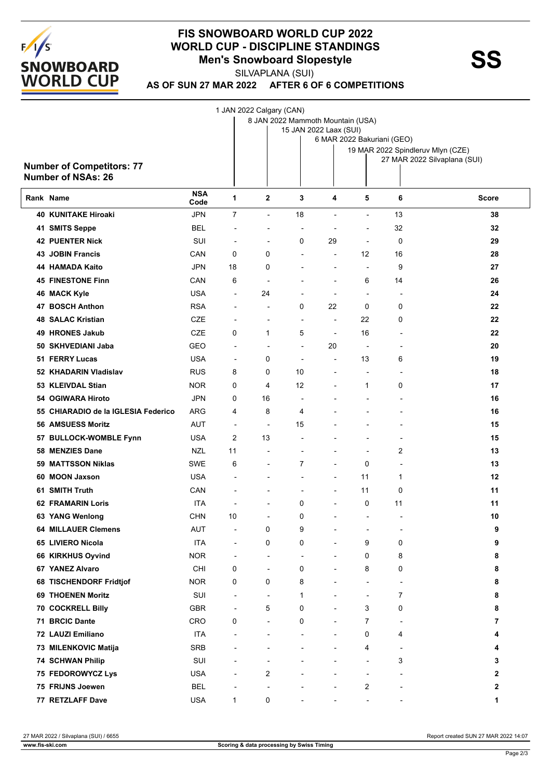

## **FIS SNOWBOARD WORLD CUP 2022 WORLD CUP - DISCIPLINE STANDINGS<br>Men's Snowboard Slopestyle<br>SUVARLANA (SUI)**

SILVAPLANA (SUI)

**AS OF SUN 27 MAR 2022 AFTER 6 OF 6 COMPETITIONS**

|                                     |                    |                          | 1 JAN 2022 Calgary (CAN)          |                          |                            |                          |                                                                   |              |
|-------------------------------------|--------------------|--------------------------|-----------------------------------|--------------------------|----------------------------|--------------------------|-------------------------------------------------------------------|--------------|
|                                     |                    |                          | 8 JAN 2022 Mammoth Mountain (USA) |                          |                            |                          |                                                                   |              |
|                                     |                    |                          |                                   | 15 JAN 2022 Laax (SUI)   |                            |                          |                                                                   |              |
|                                     |                    |                          |                                   |                          | 6 MAR 2022 Bakuriani (GEO) |                          |                                                                   |              |
|                                     |                    |                          |                                   |                          |                            |                          | 19 MAR 2022 Spindleruv Mlyn (CZE)<br>27 MAR 2022 Silvaplana (SUI) |              |
| <b>Number of Competitors: 77</b>    |                    |                          |                                   |                          |                            |                          |                                                                   |              |
| <b>Number of NSAs: 26</b>           |                    |                          |                                   |                          |                            |                          |                                                                   |              |
| Rank Name                           | <b>NSA</b><br>Code | 1                        | 2                                 | 3                        | 4                          | 5                        | 6                                                                 | Score        |
| <b>40 KUNITAKE Hiroaki</b>          | <b>JPN</b>         | $\overline{7}$           | $\overline{\phantom{a}}$          | 18                       |                            | ÷,                       | 13                                                                | 38           |
| 41 SMITS Seppe                      | BEL                | ÷                        |                                   | $\overline{a}$           |                            | -                        | 32                                                                | 32           |
| <b>42 PUENTER Nick</b>              | SUI                | $\overline{\phantom{a}}$ | $\overline{a}$                    | 0                        | 29                         | $\overline{\phantom{a}}$ | 0                                                                 | 29           |
| <b>43 JOBIN Francis</b>             | CAN                | 0                        | 0                                 | $\overline{a}$           | $\overline{a}$             | 12                       | 16                                                                | 28           |
| 44 HAMADA Kaito                     | <b>JPN</b>         | 18                       | 0                                 |                          |                            | $\overline{\phantom{a}}$ | 9                                                                 | 27           |
| <b>45 FINESTONE Finn</b>            | CAN                | 6                        | $\overline{a}$                    |                          | $\blacksquare$             | 6                        | 14                                                                | 26           |
| 46 MACK Kyle                        | <b>USA</b>         | $\overline{\phantom{a}}$ | 24                                |                          | $\blacksquare$             | $\overline{\phantom{a}}$ | $\overline{\phantom{a}}$                                          | 24           |
| 47 BOSCH Anthon                     | <b>RSA</b>         | $\overline{\phantom{a}}$ | $\overline{a}$                    | 0                        | 22                         | 0                        | 0                                                                 | 22           |
| <b>48 SALAC Kristian</b>            | <b>CZE</b>         | $\overline{\phantom{a}}$ |                                   | $\overline{\phantom{a}}$ | $\overline{\phantom{a}}$   | 22                       | 0                                                                 | 22           |
| 49 HRONES Jakub                     | <b>CZE</b>         | 0                        | 1                                 | 5                        | $\overline{a}$             | 16                       | $\blacksquare$                                                    | 22           |
| 50 SKHVEDIANI Jaba                  | GEO                | $\overline{\phantom{a}}$ | $\overline{a}$                    | $\overline{\phantom{a}}$ | 20                         | $\overline{\phantom{a}}$ | $\overline{\phantom{a}}$                                          | 20           |
| 51 FERRY Lucas                      | <b>USA</b>         | $\overline{\phantom{a}}$ | 0                                 | $\overline{a}$           | $\overline{\phantom{a}}$   | 13                       | 6                                                                 | 19           |
| 52 KHADARIN Vladislav               | <b>RUS</b>         | 8                        | 0                                 | 10                       | $\overline{a}$             | $\overline{\phantom{a}}$ | $\overline{\phantom{a}}$                                          | 18           |
| 53 KLEIVDAL Stian                   | <b>NOR</b>         | 0                        | 4                                 | 12                       |                            | $\mathbf{1}$             | 0                                                                 | 17           |
| 54 OGIWARA Hiroto                   | <b>JPN</b>         | 0                        | 16                                | $\overline{\phantom{a}}$ |                            | $\overline{a}$           | $\overline{a}$                                                    | 16           |
| 55 CHIARADIO de la IGLESIA Federico | ARG                | 4                        | 8                                 | 4                        |                            |                          |                                                                   | 16           |
| <b>56 AMSUESS Moritz</b>            | <b>AUT</b>         | $\overline{\phantom{a}}$ | $\blacksquare$                    | 15                       |                            |                          | $\overline{\phantom{a}}$                                          | 15           |
| 57 BULLOCK-WOMBLE Fynn              | <b>USA</b>         | 2                        | 13                                | $\overline{a}$           |                            |                          | $\overline{a}$                                                    | 15           |
| 58 MENZIES Dane                     | <b>NZL</b>         | 11                       |                                   | $\overline{a}$           | $\overline{\phantom{a}}$   | $\overline{\phantom{a}}$ | 2                                                                 | 13           |
| 59 MATTSSON Niklas                  | SWE                | 6                        |                                   | 7                        |                            | 0                        |                                                                   | 13           |
| 60 MOON Jaxson                      | <b>USA</b>         |                          |                                   |                          |                            | 11                       | $\overline{a}$<br>$\mathbf{1}$                                    | 12           |
| 61 SMITH Truth                      | CAN                | $\blacksquare$           |                                   | $\blacksquare$           | $\overline{\phantom{a}}$   | 11                       | 0                                                                 | 11           |
| <b>62 FRAMARIN Loris</b>            | ITA                |                          |                                   | 0                        |                            | 0                        | 11                                                                | 11           |
|                                     | <b>CHN</b>         |                          |                                   |                          |                            |                          |                                                                   |              |
| 63 YANG Wenlong                     |                    | 10                       |                                   | 0                        | $\overline{\phantom{0}}$   | $\blacksquare$           | $\blacksquare$                                                    | 10           |
| <b>64 MILLAUER Clemens</b>          | <b>AUT</b>         | $\overline{\phantom{a}}$ | 0                                 | 9                        |                            | $\overline{a}$           |                                                                   | 9            |
| 65 LIVIERO Nicola                   | <b>ITA</b>         | $\overline{\phantom{a}}$ | 0                                 | 0                        |                            | 9                        | 0                                                                 | 9            |
| 66 KIRKHUS Oyvind                   | <b>NOR</b>         | $\overline{\phantom{a}}$ | $\overline{\phantom{a}}$          | $\overline{a}$           |                            | 0                        | 8                                                                 | 8            |
| 67 YANEZ Alvaro                     | CHI                | 0                        | $\overline{\phantom{a}}$          | 0                        |                            | 8                        | 0                                                                 | 8            |
| 68 TISCHENDORF Fridtjof             | <b>NOR</b>         | 0                        | 0                                 | 8                        |                            | $\overline{a}$           | $\overline{a}$                                                    | 8            |
| 69 THOENEN Moritz                   | SUI                | $\overline{\phantom{a}}$ | $\overline{\phantom{a}}$          | $\mathbf 1$              |                            | $\overline{\phantom{a}}$ | 7                                                                 | 8            |
| 70 COCKRELL Billy                   | GBR                | $\overline{\phantom{a}}$ | 5                                 | 0                        |                            | 3                        | 0                                                                 | 8            |
| 71 BRCIC Dante                      | CRO                | 0                        |                                   | 0                        |                            | $\overline{7}$           |                                                                   | 7            |
| 72 LAUZI Emiliano                   | <b>ITA</b>         | $\blacksquare$           |                                   | $\overline{\phantom{a}}$ |                            | 0                        | 4                                                                 | 4            |
| 73 MILENKOVIC Matija                | <b>SRB</b>         |                          |                                   |                          |                            | 4                        | $\overline{a}$                                                    | 4            |
| <b>74 SCHWAN Philip</b>             | SUI                |                          | $\blacksquare$                    |                          |                            | $\overline{a}$           | 3                                                                 | 3            |
| 75 FEDOROWYCZ Lys                   | <b>USA</b>         | $\overline{\phantom{a}}$ | 2                                 |                          |                            | $\overline{\phantom{a}}$ | ÷                                                                 | 2            |
| 75 FRIJNS Joewen                    | <b>BEL</b>         | $\blacksquare$           |                                   |                          |                            | 2                        |                                                                   | $\mathbf{2}$ |
| 77 RETZLAFF Dave                    | <b>USA</b>         | 1                        | 0                                 |                          |                            |                          |                                                                   | 1            |

27 MAR 2022 / Silvaplana (SUI) / 6655 Report created SUN 27 MAR 2022 14:07